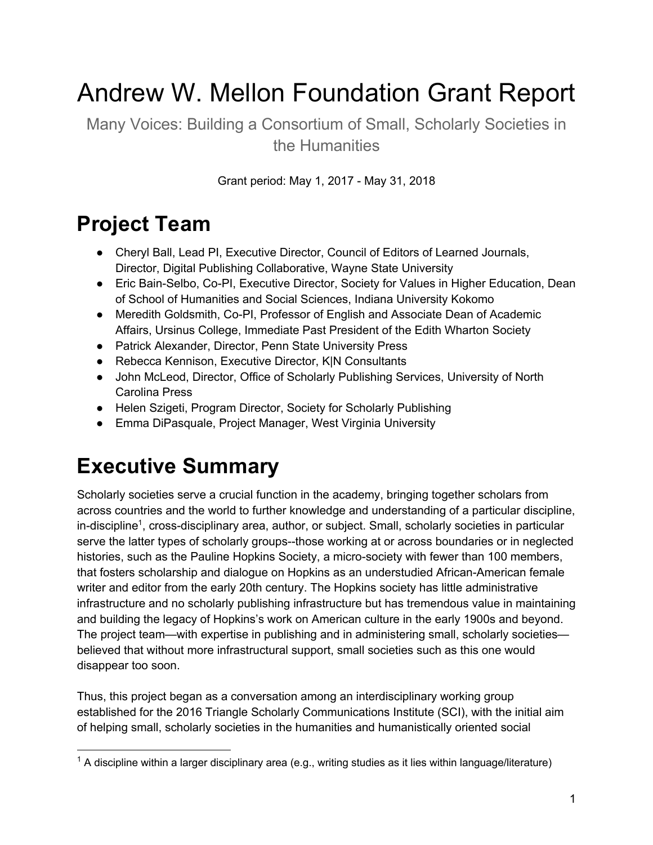# Andrew W. Mellon Foundation Grant Report

Many Voices: Building a Consortium of Small, Scholarly Societies in the Humanities

Grant period: May 1, 2017 - May 31, 2018

## **Project Team**

- Cheryl Ball, Lead PI, Executive Director, Council of Editors of Learned Journals, Director, Digital Publishing Collaborative, Wayne State University
- Eric Bain-Selbo, Co-PI, Executive Director, Society for Values in Higher Education, Dean of School of Humanities and Social Sciences, Indiana University Kokomo
- Meredith Goldsmith, Co-PI, Professor of English and Associate Dean of Academic Affairs, Ursinus College, Immediate Past President of the Edith Wharton Society
- Patrick Alexander, Director, Penn State University Press
- Rebecca Kennison, Executive Director, K|N Consultants
- John McLeod, Director, Office of Scholarly Publishing Services, University of North Carolina Press
- Helen Szigeti, Program Director, Society for Scholarly Publishing
- Emma DiPasquale, Project Manager, West Virginia University

#### **Executive Summary**

Scholarly societies serve a crucial function in the academy, bringing together scholars from across countries and the world to further knowledge and understanding of a particular discipline, in-discipline<sup>1</sup>, cross-disciplinary area, author, or subject. Small, scholarly societies in particular serve the latter types of scholarly groups--those working at or across boundaries or in neglected histories, such as the Pauline Hopkins Society, a micro-society with fewer than 100 members, that fosters scholarship and dialogue on Hopkins as an understudied African-American female writer and editor from the early 20th century. The Hopkins society has little administrative infrastructure and no scholarly publishing infrastructure but has tremendous value in maintaining and building the legacy of Hopkins's work on American culture in the early 1900s and beyond. The project team—with expertise in publishing and in administering small, scholarly societies believed that without more infrastructural support, small societies such as this one would disappear too soon.

Thus, this project began as a conversation among an interdisciplinary working group established for the 2016 Triangle Scholarly Communications Institute (SCI), with the initial aim of helping small, scholarly societies in the humanities and humanistically oriented social

 $1$  A discipline within a larger disciplinary area (e.g., writing studies as it lies within language/literature)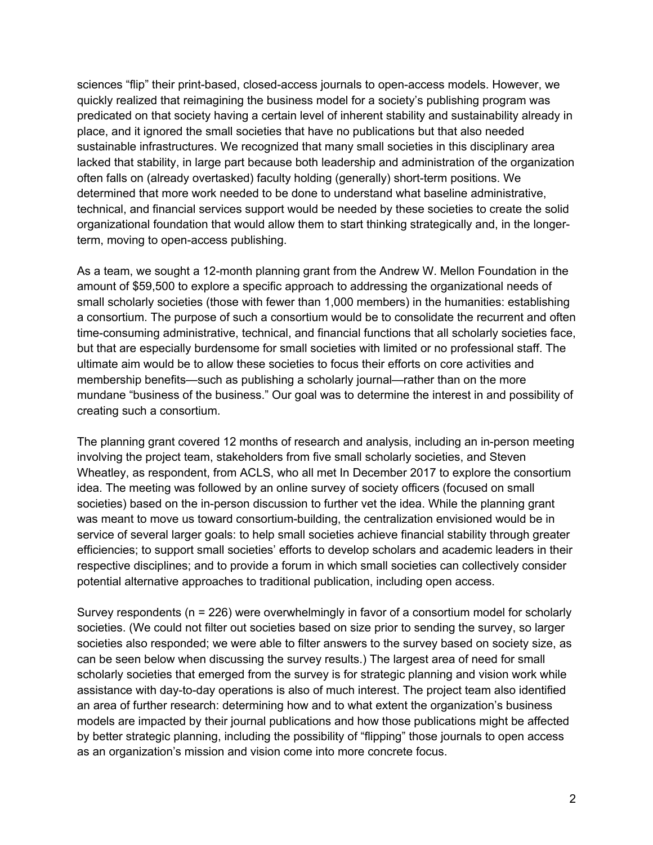sciences "flip" their print-based, closed-access journals to open-access models. However, we quickly realized that reimagining the business model for a society's publishing program was predicated on that society having a certain level of inherent stability and sustainability already in place, and it ignored the small societies that have no publications but that also needed sustainable infrastructures. We recognized that many small societies in this disciplinary area lacked that stability, in large part because both leadership and administration of the organization often falls on (already overtasked) faculty holding (generally) short-term positions. We determined that more work needed to be done to understand what baseline administrative, technical, and financial services support would be needed by these societies to create the solid organizational foundation that would allow them to start thinking strategically and, in the longerterm, moving to open-access publishing.

As a team, we sought a 12-month planning grant from the Andrew W. Mellon Foundation in the amount of \$59,500 to explore a specific approach to addressing the organizational needs of small scholarly societies (those with fewer than 1,000 members) in the humanities: establishing a consortium. The purpose of such a consortium would be to consolidate the recurrent and often time-consuming administrative, technical, and financial functions that all scholarly societies face, but that are especially burdensome for small societies with limited or no professional staff. The ultimate aim would be to allow these societies to focus their efforts on core activities and membership benefits—such as publishing a scholarly journal—rather than on the more mundane "business of the business." Our goal was to determine the interest in and possibility of creating such a consortium.

The planning grant covered 12 months of research and analysis, including an in-person meeting involving the project team, stakeholders from five small scholarly societies, and Steven Wheatley, as respondent, from ACLS, who all met In December 2017 to explore the consortium idea. The meeting was followed by an online survey of society officers (focused on small societies) based on the in-person discussion to further vet the idea. While the planning grant was meant to move us toward consortium-building, the centralization envisioned would be in service of several larger goals: to help small societies achieve financial stability through greater efficiencies; to support small societies' efforts to develop scholars and academic leaders in their respective disciplines; and to provide a forum in which small societies can collectively consider potential alternative approaches to traditional publication, including open access.

Survey respondents (n = 226) were overwhelmingly in favor of a consortium model for scholarly societies. (We could not filter out societies based on size prior to sending the survey, so larger societies also responded; we were able to filter answers to the survey based on society size, as can be seen below when discussing the survey results.) The largest area of need for small scholarly societies that emerged from the survey is for strategic planning and vision work while assistance with day-to-day operations is also of much interest. The project team also identified an area of further research: determining how and to what extent the organization's business models are impacted by their journal publications and how those publications might be affected by better strategic planning, including the possibility of "flipping" those journals to open access as an organization's mission and vision come into more concrete focus.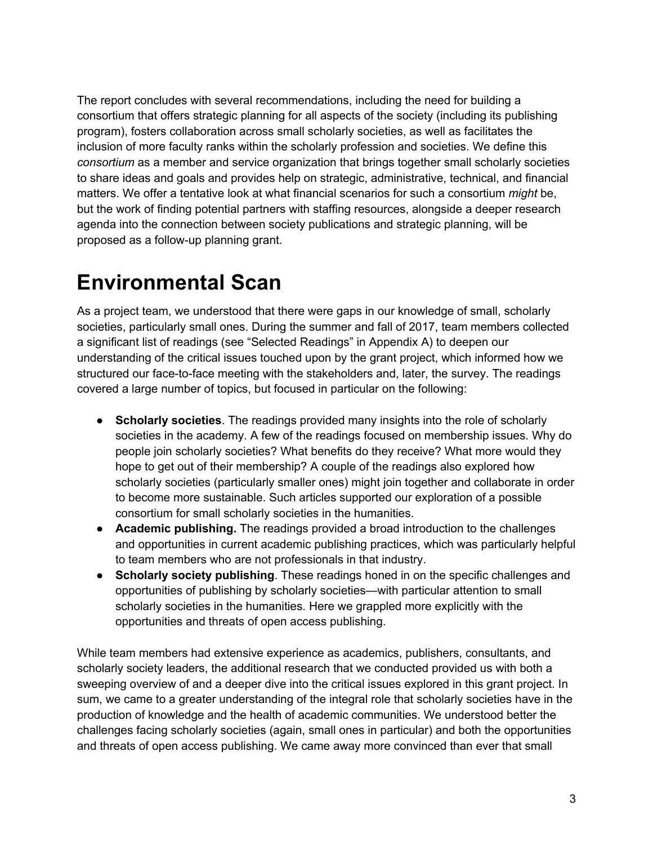The report concludes with several recommendations, including the need for building a consortium that offers strategic planning for all aspects of the society (including its publishing program), fosters collaboration across small scholarly societies, as well as facilitates the inclusion of more faculty ranks within the scholarly profession and societies. We define this *consortium* as a member and service organization that brings together small scholarly societies to share ideas and goals and provides help on strategic, administrative, technical, and financial matters. We offer a tentative look at what financial scenarios for such a consortium *might* be, but the work of finding potential partners with staffing resources, alongside a deeper research agenda into the connection between society publications and strategic planning, will be proposed as a follow-up planning grant.

## **Environmental Scan**

As a project team, we understood that there were gaps in our knowledge of small, scholarly societies, particularly small ones. During the summer and fall of 2017, team members collected a significant list of readings (see "Selected Readings" in Appendix A) to deepen our understanding of the critical issues touched upon by the grant project, which informed how we structured our face-to-face meeting with the stakeholders and, later, the survey. The readings covered a large number of topics, but focused in particular on the following:

- **Scholarly societies**. The readings provided many insights into the role of scholarly societies in the academy. A few of the readings focused on membership issues. Why do people join scholarly societies? What benefits do they receive? What more would they hope to get out of their membership? A couple of the readings also explored how scholarly societies (particularly smaller ones) might join together and collaborate in order to become more sustainable. Such articles supported our exploration of a possible consortium for small scholarly societies in the humanities.
- **Academic publishing.** The readings provided a broad introduction to the challenges and opportunities in current academic publishing practices, which was particularly helpful to team members who are not professionals in that industry.
- **Scholarly society publishing**. These readings honed in on the specific challenges and opportunities of publishing by scholarly societies—with particular attention to small scholarly societies in the humanities. Here we grappled more explicitly with the opportunities and threats of open access publishing.

While team members had extensive experience as academics, publishers, consultants, and scholarly society leaders, the additional research that we conducted provided us with both a sweeping overview of and a deeper dive into the critical issues explored in this grant project. In sum, we came to a greater understanding of the integral role that scholarly societies have in the production of knowledge and the health of academic communities. We understood better the challenges facing scholarly societies (again, small ones in particular) and both the opportunities and threats of open access publishing. We came away more convinced than ever that small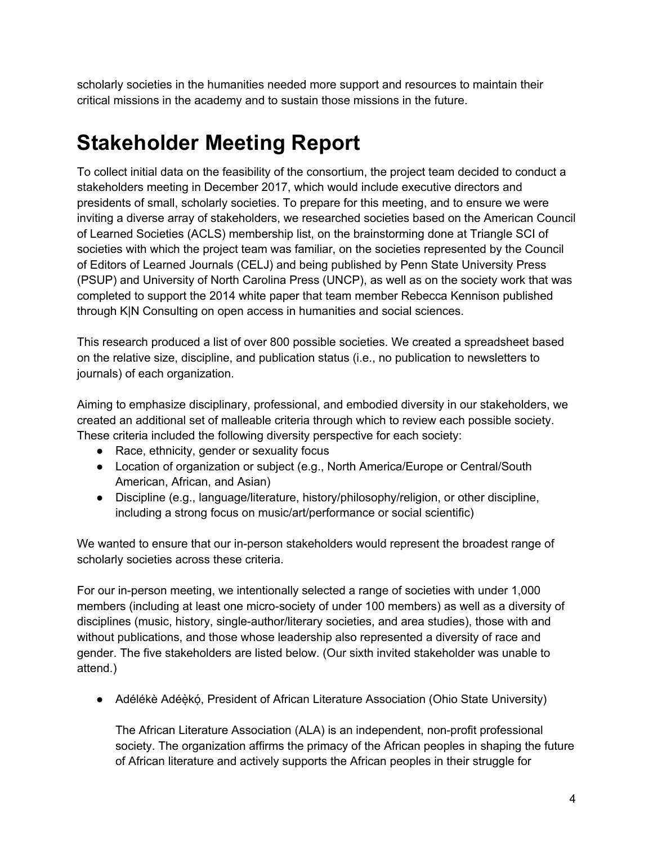scholarly societies in the humanities needed more support and resources to maintain their critical missions in the academy and to sustain those missions in the future.

## **Stakeholder Meeting Report**

To collect initial data on the feasibility of the consortium, the project team decided to conduct a stakeholders meeting in December 2017, which would include executive directors and presidents of small, scholarly societies. To prepare for this meeting, and to ensure we were inviting a diverse array of stakeholders, we researched societies based on the American Council of Learned Societies (ACLS) membership list, on the brainstorming done at Triangle SCI of societies with which the project team was familiar, on the societies represented by the Council of Editors of Learned Journals (CELJ) and being published by Penn State University Press (PSUP) and University of North Carolina Press (UNCP), as well as on the society work that was completed to support the 2014 white paper that team member Rebecca Kennison published through K|N Consulting on open access in humanities and social sciences.

This research produced a list of over 800 possible societies. We created a spreadsheet based on the relative size, discipline, and publication status (i.e., no publication to newsletters to journals) of each organization.

Aiming to emphasize disciplinary, professional, and embodied diversity in our stakeholders, we created an additional set of malleable criteria through which to review each possible society. These criteria included the following diversity perspective for each society:

- Race, ethnicity, gender or sexuality focus
- Location of organization or subject (e.g., North America/Europe or Central/South American, African, and Asian)
- Discipline (e.g., language/literature, history/philosophy/religion, or other discipline, including a strong focus on music/art/performance or social scientific)

We wanted to ensure that our in-person stakeholders would represent the broadest range of scholarly societies across these criteria.

For our in-person meeting, we intentionally selected a range of societies with under 1,000 members (including at least one micro-society of under 100 members) as well as a diversity of disciplines (music, history, single-author/literary societies, and area studies), those with and without publications, and those whose leadership also represented a diversity of race and gender. The five stakeholders are listed below. (Our sixth invited stakeholder was unable to attend.)

• Adélékè Adéèkó, President of African Literature Association (Ohio State University)

The African Literature Association (ALA) is an independent, non-profit professional society. The organization affirms the primacy of the African peoples in shaping the future of African literature and actively supports the African peoples in their struggle for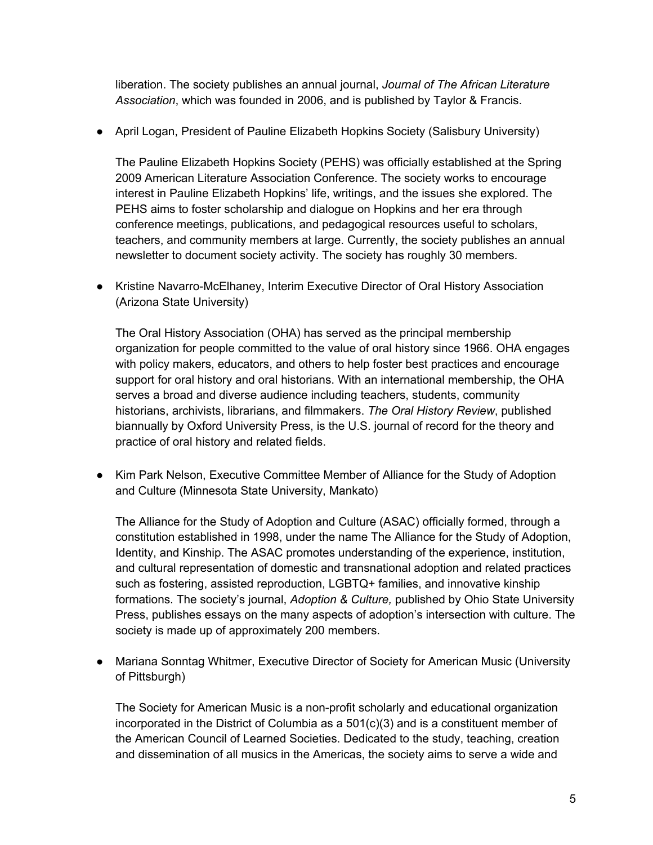liberation. The society publishes an annual journal, *Journal of The African Literature Association*, which was founded in 2006, and is published by Taylor & Francis.

● April Logan, President of Pauline Elizabeth Hopkins Society (Salisbury University)

The Pauline Elizabeth Hopkins Society (PEHS) was officially established at the Spring 2009 American Literature Association Conference. The society works to encourage interest in Pauline Elizabeth Hopkins' life, writings, and the issues she explored. The PEHS aims to foster scholarship and dialogue on Hopkins and her era through conference meetings, publications, and pedagogical resources useful to scholars, teachers, and community members at large. Currently, the society publishes an annual newsletter to document society activity. The society has roughly 30 members.

● Kristine Navarro-McElhaney, Interim Executive Director of Oral History Association (Arizona State University)

The Oral History Association (OHA) has served as the principal membership organization for people committed to the value of oral history since 1966. OHA engages with policy makers, educators, and others to help foster best practices and encourage support for oral history and oral historians. With an international membership, the OHA serves a broad and diverse audience including teachers, students, community historians, archivists, librarians, and filmmakers. *The Oral History Review*, published biannually by Oxford University Press, is the U.S. journal of record for the theory and practice of oral history and related fields.

● Kim Park Nelson, Executive Committee Member of Alliance for the Study of Adoption and Culture (Minnesota State University, Mankato)

The Alliance for the Study of Adoption and Culture (ASAC) officially formed, through a constitution established in 1998, under the name The Alliance for the Study of Adoption, Identity, and Kinship. The ASAC promotes understanding of the experience, institution, and cultural representation of domestic and transnational adoption and related practices such as fostering, assisted reproduction, LGBTQ+ families, and innovative kinship formations. The society's journal, *Adoption & Culture,* published by Ohio State University Press, publishes essays on the many aspects of adoption's intersection with culture. The society is made up of approximately 200 members.

● Mariana Sonntag Whitmer, Executive Director of Society for American Music (University of Pittsburgh)

The Society for American Music is a non-profit scholarly and educational organization incorporated in the District of Columbia as a 501(c)(3) and is a constituent member of the American Council of Learned Societies. Dedicated to the study, teaching, creation and dissemination of all musics in the Americas, the society aims to serve a wide and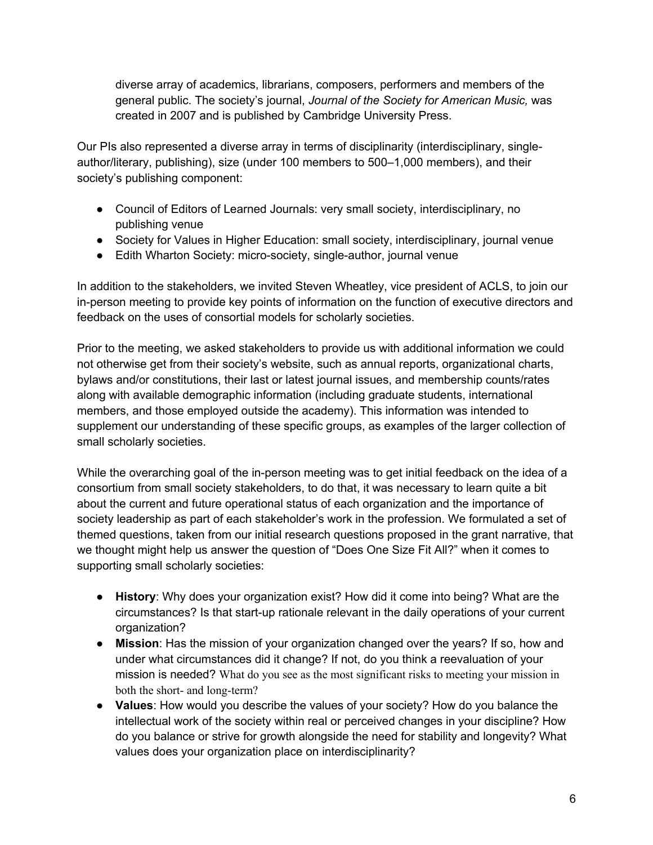diverse array of academics, librarians, composers, performers and members of the general public. The society's journal, *Journal of the Society for American Music,* was created in 2007 and is published by Cambridge University Press.

Our PIs also represented a diverse array in terms of disciplinarity (interdisciplinary, singleauthor/literary, publishing), size (under 100 members to 500–1,000 members), and their society's publishing component:

- Council of Editors of Learned Journals: very small society, interdisciplinary, no publishing venue
- Society for Values in Higher Education: small society, interdisciplinary, journal venue
- Edith Wharton Society: micro-society, single-author, journal venue

In addition to the stakeholders, we invited Steven Wheatley, vice president of ACLS, to join our in-person meeting to provide key points of information on the function of executive directors and feedback on the uses of consortial models for scholarly societies.

Prior to the meeting, we asked stakeholders to provide us with additional information we could not otherwise get from their society's website, such as annual reports, organizational charts, bylaws and/or constitutions, their last or latest journal issues, and membership counts/rates along with available demographic information (including graduate students, international members, and those employed outside the academy). This information was intended to supplement our understanding of these specific groups, as examples of the larger collection of small scholarly societies.

While the overarching goal of the in-person meeting was to get initial feedback on the idea of a consortium from small society stakeholders, to do that, it was necessary to learn quite a bit about the current and future operational status of each organization and the importance of society leadership as part of each stakeholder's work in the profession. We formulated a set of themed questions, taken from our initial research questions proposed in the grant narrative, that we thought might help us answer the question of "Does One Size Fit All?" when it comes to supporting small scholarly societies:

- **History**: Why does your organization exist? How did it come into being? What are the circumstances? Is that start-up rationale relevant in the daily operations of your current organization?
- **Mission**: Has the mission of your organization changed over the years? If so, how and under what circumstances did it change? If not, do you think a reevaluation of your mission is needed? What do you see as the most significant risks to meeting your mission in both the short- and long-term?
- **Values**: How would you describe the values of your society? How do you balance the intellectual work of the society within real or perceived changes in your discipline? How do you balance or strive for growth alongside the need for stability and longevity? What values does your organization place on interdisciplinarity?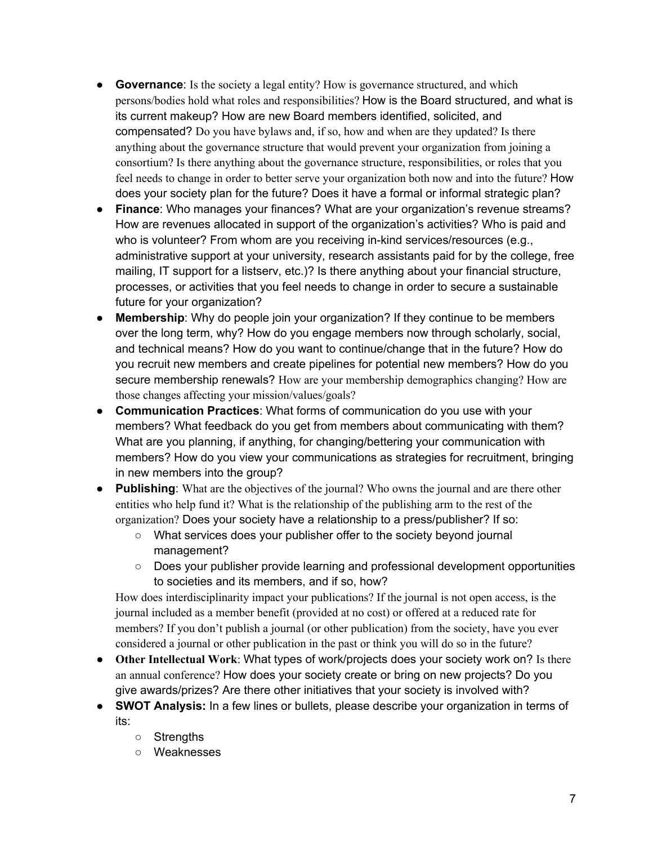- **Governance**: Is the society a legal entity? How is governance structured, and which persons/bodies hold what roles and responsibilities? How is the Board structured, and what is its current makeup? How are new Board members identified, solicited, and compensated? Do you have bylaws and, if so, how and when are they updated? Is there anything about the governance structure that would prevent your organization from joining a consortium? Is there anything about the governance structure, responsibilities, or roles that you feel needs to change in order to better serve your organization both now and into the future? How does your society plan for the future? Does it have a formal or informal strategic plan?
- **Finance**: Who manages your finances? What are your organization's revenue streams? How are revenues allocated in support of the organization's activities? Who is paid and who is volunteer? From whom are you receiving in-kind services/resources (e.g., administrative support at your university, research assistants paid for by the college, free mailing, IT support for a listserv, etc.)? Is there anything about your financial structure, processes, or activities that you feel needs to change in order to secure a sustainable future for your organization?
- **Membership**: Why do people join your organization? If they continue to be members over the long term, why? How do you engage members now through scholarly, social, and technical means? How do you want to continue/change that in the future? How do you recruit new members and create pipelines for potential new members? How do you secure membership renewals? How are your membership demographics changing? How are those changes affecting your mission/values/goals?
- **Communication Practices**: What forms of communication do you use with your members? What feedback do you get from members about communicating with them? What are you planning, if anything, for changing/bettering your communication with members? How do you view your communications as strategies for recruitment, bringing in new members into the group?
- **Publishing**: What are the objectives of the journal? Who owns the journal and are there other entities who help fund it? What is the relationship of the publishing arm to the rest of the organization? Does your society have a relationship to a press/publisher? If so:
	- What services does your publisher offer to the society beyond journal management?
	- Does your publisher provide learning and professional development opportunities to societies and its members, and if so, how?

How does interdisciplinarity impact your publications? If the journal is not open access, is the journal included as a member benefit (provided at no cost) or offered at a reduced rate for members? If you don't publish a journal (or other publication) from the society, have you ever considered a journal or other publication in the past or think you will do so in the future?

- **Other Intellectual Work**: What types of work/projects does your society work on? Is there an annual conference? How does your society create or bring on new projects? Do you give awards/prizes? Are there other initiatives that your society is involved with?
- **SWOT Analysis:** In a few lines or bullets, please describe your organization in terms of its:
	- Strengths
	- Weaknesses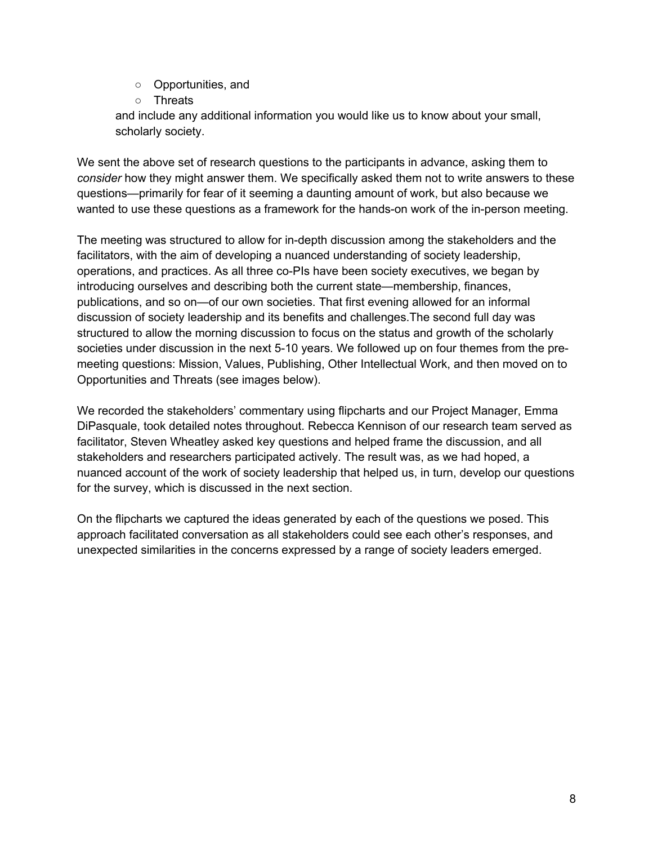- Opportunities, and
- Threats

and include any additional information you would like us to know about your small, scholarly society.

We sent the above set of research questions to the participants in advance, asking them to *consider* how they might answer them. We specifically asked them not to write answers to these questions—primarily for fear of it seeming a daunting amount of work, but also because we wanted to use these questions as a framework for the hands-on work of the in-person meeting.

The meeting was structured to allow for in-depth discussion among the stakeholders and the facilitators, with the aim of developing a nuanced understanding of society leadership, operations, and practices. As all three co-PIs have been society executives, we began by introducing ourselves and describing both the current state—membership, finances, publications, and so on—of our own societies. That first evening allowed for an informal discussion of society leadership and its benefits and challenges.The second full day was structured to allow the morning discussion to focus on the status and growth of the scholarly societies under discussion in the next 5-10 years. We followed up on four themes from the premeeting questions: Mission, Values, Publishing, Other Intellectual Work, and then moved on to Opportunities and Threats (see images below).

We recorded the stakeholders' commentary using flipcharts and our Project Manager, Emma DiPasquale, took detailed notes throughout. Rebecca Kennison of our research team served as facilitator, Steven Wheatley asked key questions and helped frame the discussion, and all stakeholders and researchers participated actively. The result was, as we had hoped, a nuanced account of the work of society leadership that helped us, in turn, develop our questions for the survey, which is discussed in the next section.

On the flipcharts we captured the ideas generated by each of the questions we posed. This approach facilitated conversation as all stakeholders could see each other's responses, and unexpected similarities in the concerns expressed by a range of society leaders emerged.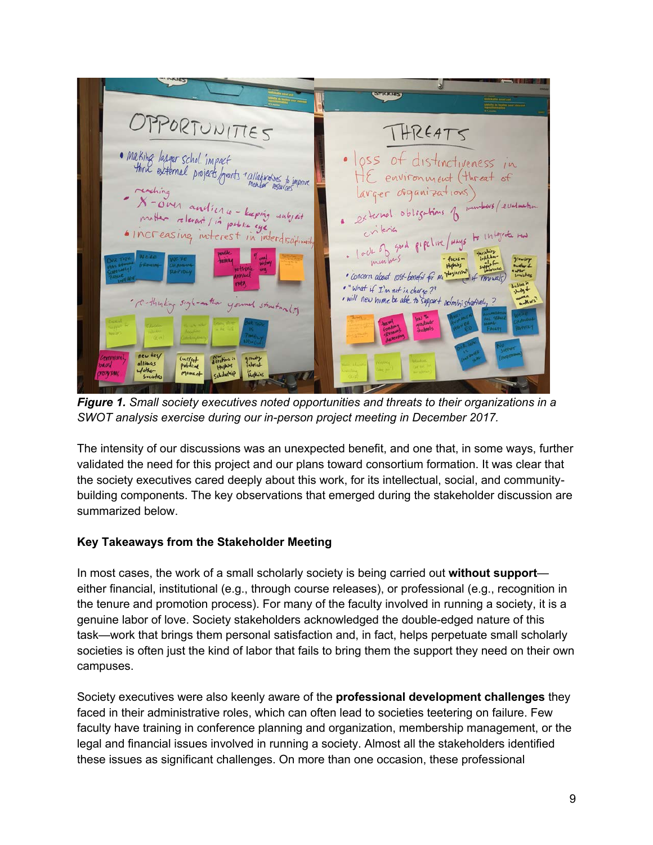

*Figure 1. Small society executives noted opportunities and threats to their organizations in a SWOT analysis exercise during our in-person project meeting in December 2017.* 

The intensity of our discussions was an unexpected benefit, and one that, in some ways, further validated the need for this project and our plans toward consortium formation. It was clear that the society executives cared deeply about this work, for its intellectual, social, and communitybuilding components. The key observations that emerged during the stakeholder discussion are summarized below.

#### **Key Takeaways from the Stakeholder Meeting**

In most cases, the work of a small scholarly society is being carried out **without support** either financial, institutional (e.g., through course releases), or professional (e.g., recognition in the tenure and promotion process). For many of the faculty involved in running a society, it is a genuine labor of love. Society stakeholders acknowledged the double-edged nature of this task—work that brings them personal satisfaction and, in fact, helps perpetuate small scholarly societies is often just the kind of labor that fails to bring them the support they need on their own campuses.

Society executives were also keenly aware of the **professional development challenges** they faced in their administrative roles, which can often lead to societies teetering on failure. Few faculty have training in conference planning and organization, membership management, or the legal and financial issues involved in running a society. Almost all the stakeholders identified these issues as significant challenges. On more than one occasion, these professional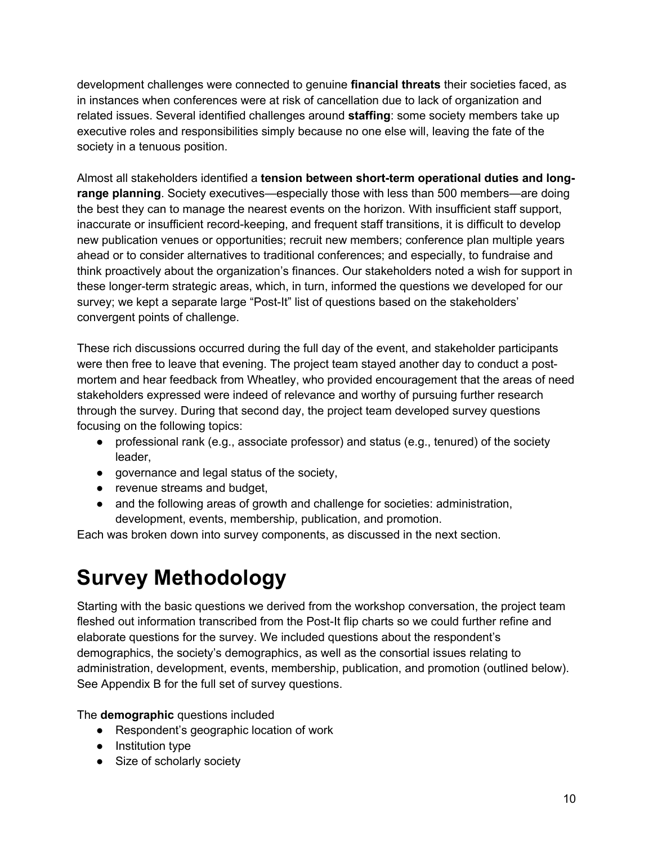development challenges were connected to genuine **financial threats** their societies faced, as in instances when conferences were at risk of cancellation due to lack of organization and related issues. Several identified challenges around **staffing**: some society members take up executive roles and responsibilities simply because no one else will, leaving the fate of the society in a tenuous position.

Almost all stakeholders identified a **tension between short-term operational duties and longrange planning**. Society executives—especially those with less than 500 members—are doing the best they can to manage the nearest events on the horizon. With insufficient staff support, inaccurate or insufficient record-keeping, and frequent staff transitions, it is difficult to develop new publication venues or opportunities; recruit new members; conference plan multiple years ahead or to consider alternatives to traditional conferences; and especially, to fundraise and think proactively about the organization's finances. Our stakeholders noted a wish for support in these longer-term strategic areas, which, in turn, informed the questions we developed for our survey; we kept a separate large "Post-It" list of questions based on the stakeholders' convergent points of challenge.

These rich discussions occurred during the full day of the event, and stakeholder participants were then free to leave that evening. The project team stayed another day to conduct a postmortem and hear feedback from Wheatley, who provided encouragement that the areas of need stakeholders expressed were indeed of relevance and worthy of pursuing further research through the survey. During that second day, the project team developed survey questions focusing on the following topics:

- professional rank (e.g., associate professor) and status (e.g., tenured) of the society leader,
- governance and legal status of the society,
- revenue streams and budget,
- and the following areas of growth and challenge for societies: administration, development, events, membership, publication, and promotion.

Each was broken down into survey components, as discussed in the next section.

## **Survey Methodology**

Starting with the basic questions we derived from the workshop conversation, the project team fleshed out information transcribed from the Post-It flip charts so we could further refine and elaborate questions for the survey. We included questions about the respondent's demographics, the society's demographics, as well as the consortial issues relating to administration, development, events, membership, publication, and promotion (outlined below). See Appendix B for the full set of survey questions.

The **demographic** questions included

- Respondent's geographic location of work
- Institution type
- Size of scholarly society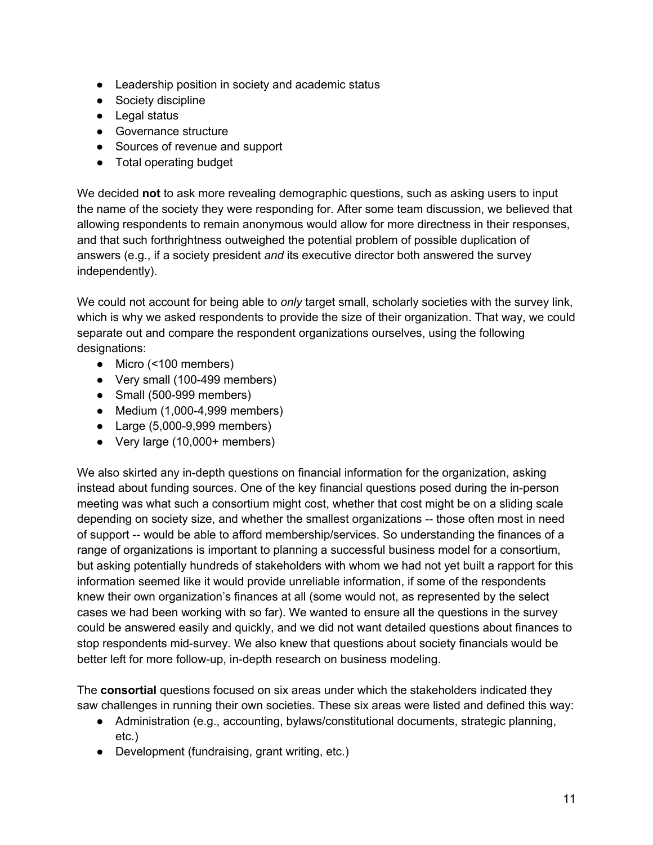- Leadership position in society and academic status
- Society discipline
- Legal status
- Governance structure
- Sources of revenue and support
- Total operating budget

We decided **not** to ask more revealing demographic questions, such as asking users to input the name of the society they were responding for. After some team discussion, we believed that allowing respondents to remain anonymous would allow for more directness in their responses, and that such forthrightness outweighed the potential problem of possible duplication of answers (e.g., if a society president *and* its executive director both answered the survey independently).

We could not account for being able to *only* target small, scholarly societies with the survey link, which is why we asked respondents to provide the size of their organization. That way, we could separate out and compare the respondent organizations ourselves, using the following designations:

- Micro (<100 members)
- Very small (100-499 members)
- Small (500-999 members)
- Medium (1,000-4,999 members)
- Large (5,000-9,999 members)
- Very large (10,000+ members)

We also skirted any in-depth questions on financial information for the organization, asking instead about funding sources. One of the key financial questions posed during the in-person meeting was what such a consortium might cost, whether that cost might be on a sliding scale depending on society size, and whether the smallest organizations -- those often most in need of support -- would be able to afford membership/services. So understanding the finances of a range of organizations is important to planning a successful business model for a consortium, but asking potentially hundreds of stakeholders with whom we had not yet built a rapport for this information seemed like it would provide unreliable information, if some of the respondents knew their own organization's finances at all (some would not, as represented by the select cases we had been working with so far). We wanted to ensure all the questions in the survey could be answered easily and quickly, and we did not want detailed questions about finances to stop respondents mid-survey. We also knew that questions about society financials would be better left for more follow-up, in-depth research on business modeling.

The **consortial** questions focused on six areas under which the stakeholders indicated they saw challenges in running their own societies. These six areas were listed and defined this way:

- Administration (e.g., accounting, bylaws/constitutional documents, strategic planning, etc.)
- Development (fundraising, grant writing, etc.)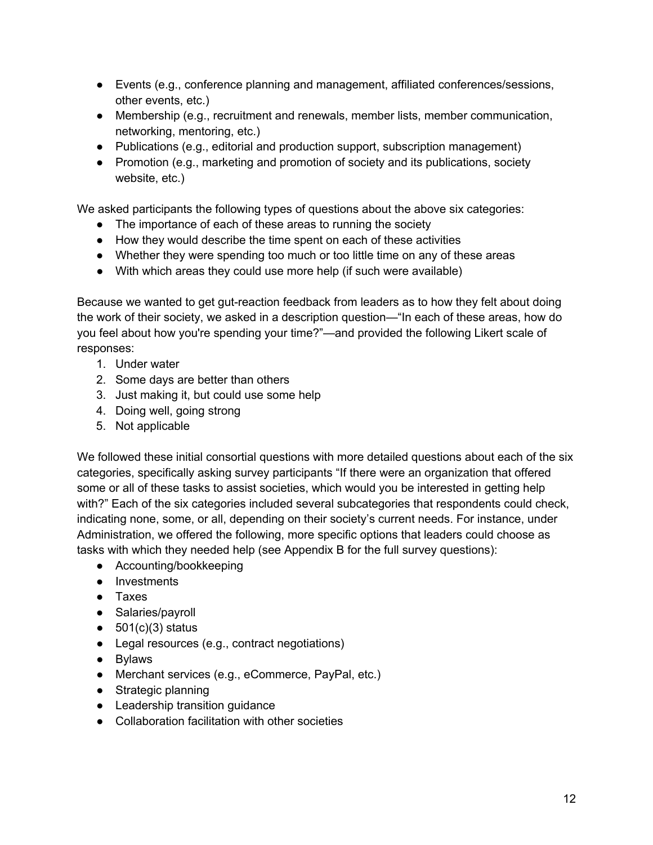- Events (e.g., conference planning and management, affiliated conferences/sessions, other events, etc.)
- Membership (e.g., recruitment and renewals, member lists, member communication, networking, mentoring, etc.)
- Publications (e.g., editorial and production support, subscription management)
- Promotion (e.g., marketing and promotion of society and its publications, society website, etc.)

We asked participants the following types of questions about the above six categories:

- The importance of each of these areas to running the society
- How they would describe the time spent on each of these activities
- Whether they were spending too much or too little time on any of these areas
- With which areas they could use more help (if such were available)

Because we wanted to get gut-reaction feedback from leaders as to how they felt about doing the work of their society, we asked in a description question—"In each of these areas, how do you feel about how you're spending your time?"—and provided the following Likert scale of responses:

- 1. Under water
- 2. Some days are better than others
- 3. Just making it, but could use some help
- 4. Doing well, going strong
- 5. Not applicable

We followed these initial consortial questions with more detailed questions about each of the six categories, specifically asking survey participants "If there were an organization that offered some or all of these tasks to assist societies, which would you be interested in getting help with?" Each of the six categories included several subcategories that respondents could check, indicating none, some, or all, depending on their society's current needs. For instance, under Administration, we offered the following, more specific options that leaders could choose as tasks with which they needed help (see Appendix B for the full survey questions):

- Accounting/bookkeeping
- Investments
- Taxes
- Salaries/payroll
- $\bullet$  501(c)(3) status
- Legal resources (e.g., contract negotiations)
- Bylaws
- Merchant services (e.g., eCommerce, PayPal, etc.)
- Strategic planning
- Leadership transition guidance
- Collaboration facilitation with other societies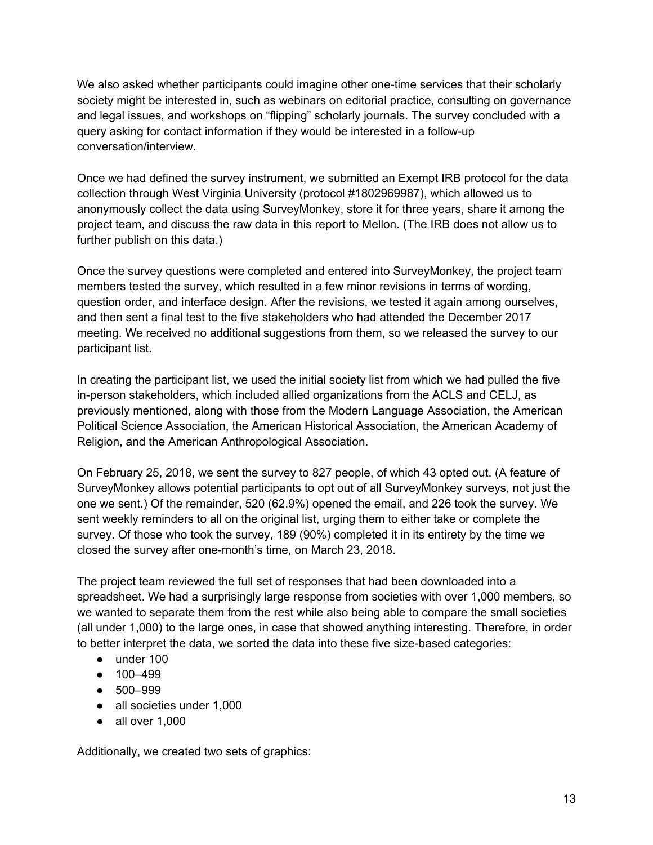We also asked whether participants could imagine other one-time services that their scholarly society might be interested in, such as webinars on editorial practice, consulting on governance and legal issues, and workshops on "flipping" scholarly journals. The survey concluded with a query asking for contact information if they would be interested in a follow-up conversation/interview.

Once we had defined the survey instrument, we submitted an Exempt IRB protocol for the data collection through West Virginia University (protocol #1802969987), which allowed us to anonymously collect the data using SurveyMonkey, store it for three years, share it among the project team, and discuss the raw data in this report to Mellon. (The IRB does not allow us to further publish on this data.)

Once the survey questions were completed and entered into SurveyMonkey, the project team members tested the survey, which resulted in a few minor revisions in terms of wording, question order, and interface design. After the revisions, we tested it again among ourselves, and then sent a final test to the five stakeholders who had attended the December 2017 meeting. We received no additional suggestions from them, so we released the survey to our participant list.

In creating the participant list, we used the initial society list from which we had pulled the five in-person stakeholders, which included allied organizations from the ACLS and CELJ, as previously mentioned, along with those from the Modern Language Association, the American Political Science Association, the American Historical Association, the American Academy of Religion, and the American Anthropological Association.

On February 25, 2018, we sent the survey to 827 people, of which 43 opted out. (A feature of SurveyMonkey allows potential participants to opt out of all SurveyMonkey surveys, not just the one we sent.) Of the remainder, 520 (62.9%) opened the email, and 226 took the survey. We sent weekly reminders to all on the original list, urging them to either take or complete the survey. Of those who took the survey, 189 (90%) completed it in its entirety by the time we closed the survey after one-month's time, on March 23, 2018.

The project team reviewed the full set of responses that had been downloaded into a spreadsheet. We had a surprisingly large response from societies with over 1,000 members, so we wanted to separate them from the rest while also being able to compare the small societies (all under 1,000) to the large ones, in case that showed anything interesting. Therefore, in order to better interpret the data, we sorted the data into these five size-based categories:

- under 100
- 100–499
- 500–999
- all societies under 1,000
- $\bullet$  all over 1,000

Additionally, we created two sets of graphics: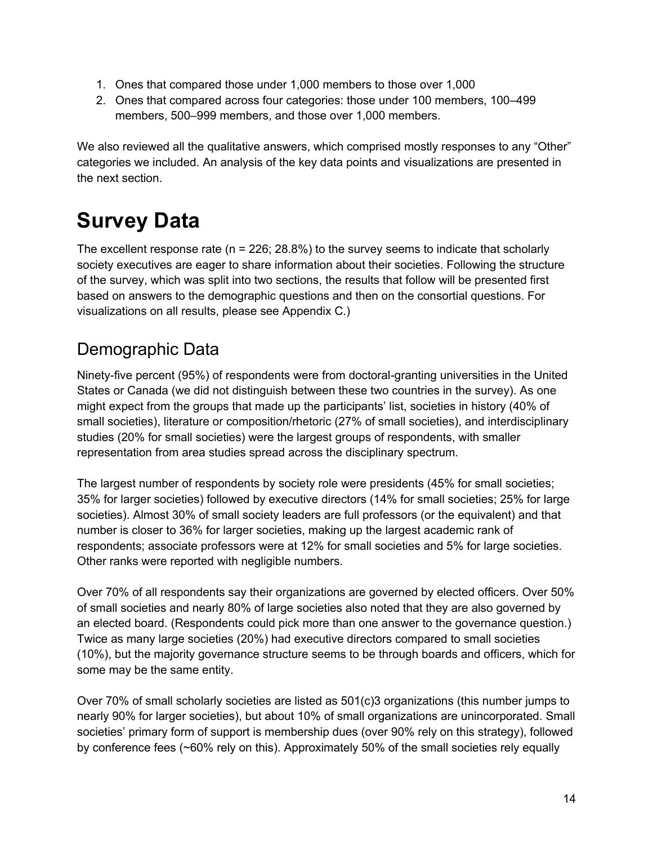- 1. Ones that compared those under 1,000 members to those over 1,000
- 2. Ones that compared across four categories: those under 100 members, 100–499 members, 500–999 members, and those over 1,000 members.

We also reviewed all the qualitative answers, which comprised mostly responses to any "Other" categories we included. An analysis of the key data points and visualizations are presented in the next section.

# **Survey Data**

The excellent response rate ( $n = 226$ ; 28.8%) to the survey seems to indicate that scholarly society executives are eager to share information about their societies. Following the structure of the survey, which was split into two sections, the results that follow will be presented first based on answers to the demographic questions and then on the consortial questions. For visualizations on all results, please see Appendix C.)

#### Demographic Data

Ninety-five percent (95%) of respondents were from doctoral-granting universities in the United States or Canada (we did not distinguish between these two countries in the survey). As one might expect from the groups that made up the participants' list, societies in history (40% of small societies), literature or composition/rhetoric (27% of small societies), and interdisciplinary studies (20% for small societies) were the largest groups of respondents, with smaller representation from area studies spread across the disciplinary spectrum.

The largest number of respondents by society role were presidents (45% for small societies; 35% for larger societies) followed by executive directors (14% for small societies; 25% for large societies). Almost 30% of small society leaders are full professors (or the equivalent) and that number is closer to 36% for larger societies, making up the largest academic rank of respondents; associate professors were at 12% for small societies and 5% for large societies. Other ranks were reported with negligible numbers.

Over 70% of all respondents say their organizations are governed by elected officers. Over 50% of small societies and nearly 80% of large societies also noted that they are also governed by an elected board. (Respondents could pick more than one answer to the governance question.) Twice as many large societies (20%) had executive directors compared to small societies (10%), but the majority governance structure seems to be through boards and officers, which for some may be the same entity.

Over 70% of small scholarly societies are listed as 501(c)3 organizations (this number jumps to nearly 90% for larger societies), but about 10% of small organizations are unincorporated. Small societies' primary form of support is membership dues (over 90% rely on this strategy), followed by conference fees (~60% rely on this). Approximately 50% of the small societies rely equally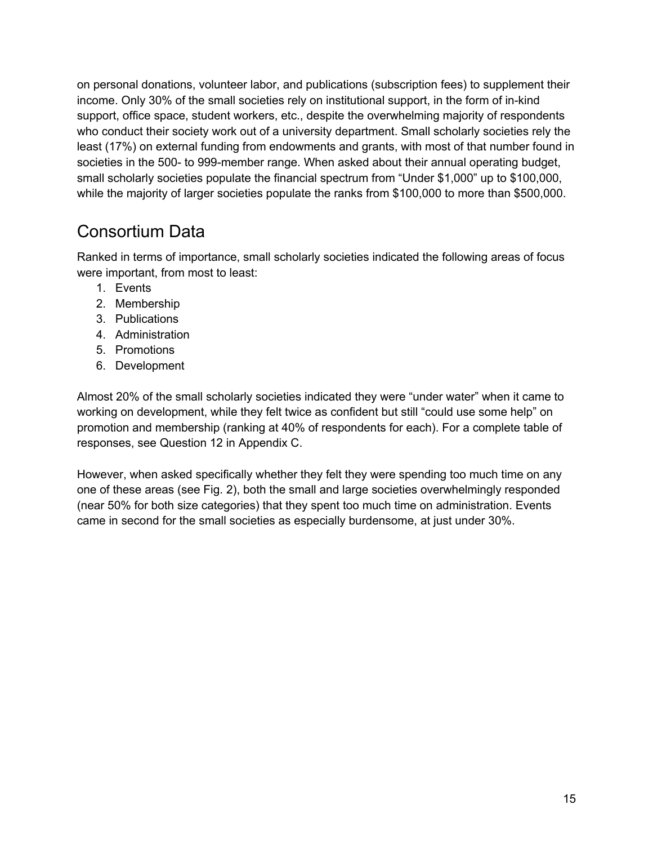on personal donations, volunteer labor, and publications (subscription fees) to supplement their income. Only 30% of the small societies rely on institutional support, in the form of in-kind support, office space, student workers, etc., despite the overwhelming majority of respondents who conduct their society work out of a university department. Small scholarly societies rely the least (17%) on external funding from endowments and grants, with most of that number found in societies in the 500- to 999-member range. When asked about their annual operating budget, small scholarly societies populate the financial spectrum from "Under \$1,000" up to \$100,000, while the majority of larger societies populate the ranks from \$100,000 to more than \$500,000.

#### Consortium Data

Ranked in terms of importance, small scholarly societies indicated the following areas of focus were important, from most to least:

- 1. Events
- 2. Membership
- 3. Publications
- 4. Administration
- 5. Promotions
- 6. Development

Almost 20% of the small scholarly societies indicated they were "under water" when it came to working on development, while they felt twice as confident but still "could use some help" on promotion and membership (ranking at 40% of respondents for each). For a complete table of responses, see Question 12 in Appendix C.

However, when asked specifically whether they felt they were spending too much time on any one of these areas (see Fig. 2), both the small and large societies overwhelmingly responded (near 50% for both size categories) that they spent too much time on administration. Events came in second for the small societies as especially burdensome, at just under 30%.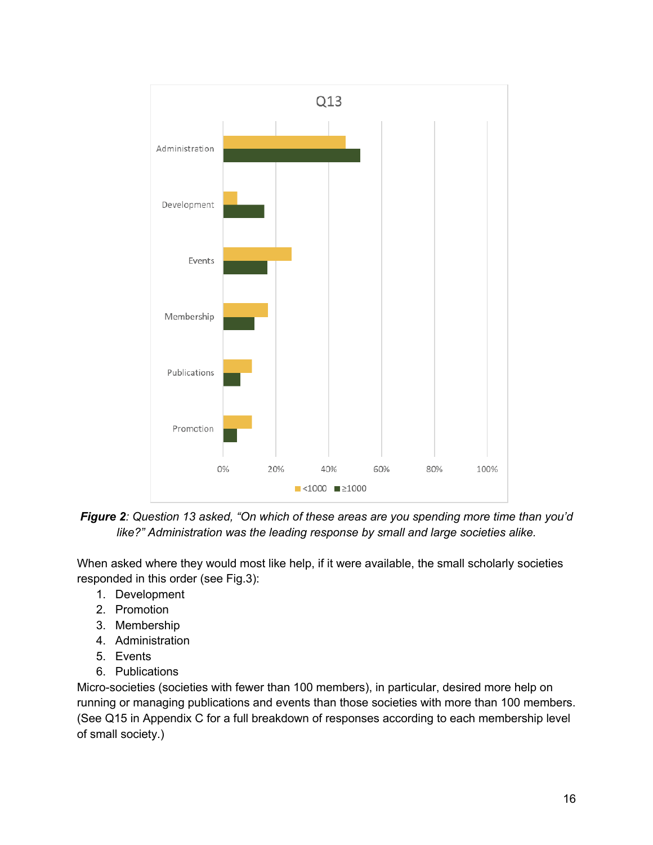

Figure 2: Question 13 asked, "On which of these areas are you spending more time than you'd like?" Administration was the leading response by small and large societies alike.

When asked where they would most like help, if it were available, the small scholarly societies responded in this order (see Fig.3):

- 1. Development
- 2. Promotion
- 3. Membership
- 4. Administration
- 5. Events
- 6. Publications

Micro-societies (societies with fewer than 100 members), in particular, desired more help on running or managing publications and events than those societies with more than 100 members. (See Q15 in Appendix C for a full breakdown of responses according to each membership level of small society.)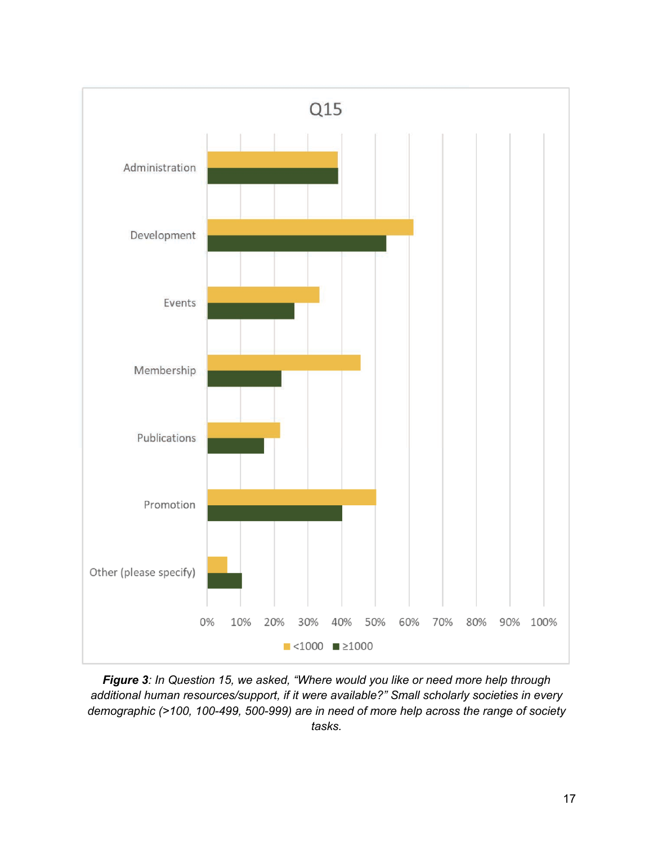

Figure 3: In Question 15, we asked, "Where would you like or need more help through additional human resources/support, if it were available?" Small scholarly societies in every demographic (>100, 100-499, 500-999) are in need of more help across the range of society tasks.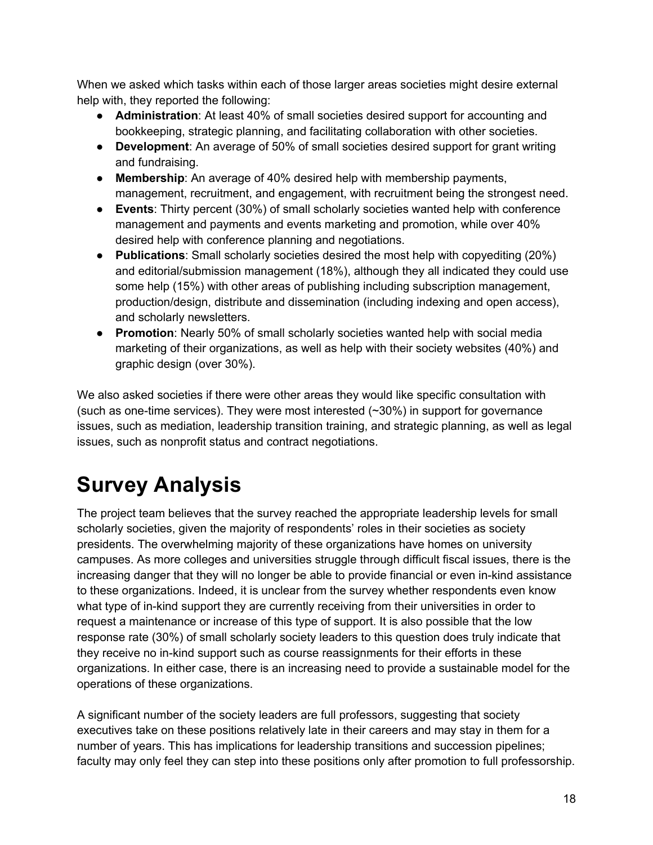When we asked which tasks within each of those larger areas societies might desire external help with, they reported the following:

- **Administration**: At least 40% of small societies desired support for accounting and bookkeeping, strategic planning, and facilitating collaboration with other societies.
- **Development**: An average of 50% of small societies desired support for grant writing and fundraising.
- **Membership**: An average of 40% desired help with membership payments, management, recruitment, and engagement, with recruitment being the strongest need.
- **Events**: Thirty percent (30%) of small scholarly societies wanted help with conference management and payments and events marketing and promotion, while over 40% desired help with conference planning and negotiations.
- **Publications**: Small scholarly societies desired the most help with copyediting (20%) and editorial/submission management (18%), although they all indicated they could use some help (15%) with other areas of publishing including subscription management, production/design, distribute and dissemination (including indexing and open access), and scholarly newsletters.
- **Promotion**: Nearly 50% of small scholarly societies wanted help with social media marketing of their organizations, as well as help with their society websites (40%) and graphic design (over 30%).

We also asked societies if there were other areas they would like specific consultation with (such as one-time services). They were most interested (~30%) in support for governance issues, such as mediation, leadership transition training, and strategic planning, as well as legal issues, such as nonprofit status and contract negotiations.

# **Survey Analysis**

The project team believes that the survey reached the appropriate leadership levels for small scholarly societies, given the majority of respondents' roles in their societies as society presidents. The overwhelming majority of these organizations have homes on university campuses. As more colleges and universities struggle through difficult fiscal issues, there is the increasing danger that they will no longer be able to provide financial or even in-kind assistance to these organizations. Indeed, it is unclear from the survey whether respondents even know what type of in-kind support they are currently receiving from their universities in order to request a maintenance or increase of this type of support. It is also possible that the low response rate (30%) of small scholarly society leaders to this question does truly indicate that they receive no in-kind support such as course reassignments for their efforts in these organizations. In either case, there is an increasing need to provide a sustainable model for the operations of these organizations.

A significant number of the society leaders are full professors, suggesting that society executives take on these positions relatively late in their careers and may stay in them for a number of years. This has implications for leadership transitions and succession pipelines; faculty may only feel they can step into these positions only after promotion to full professorship.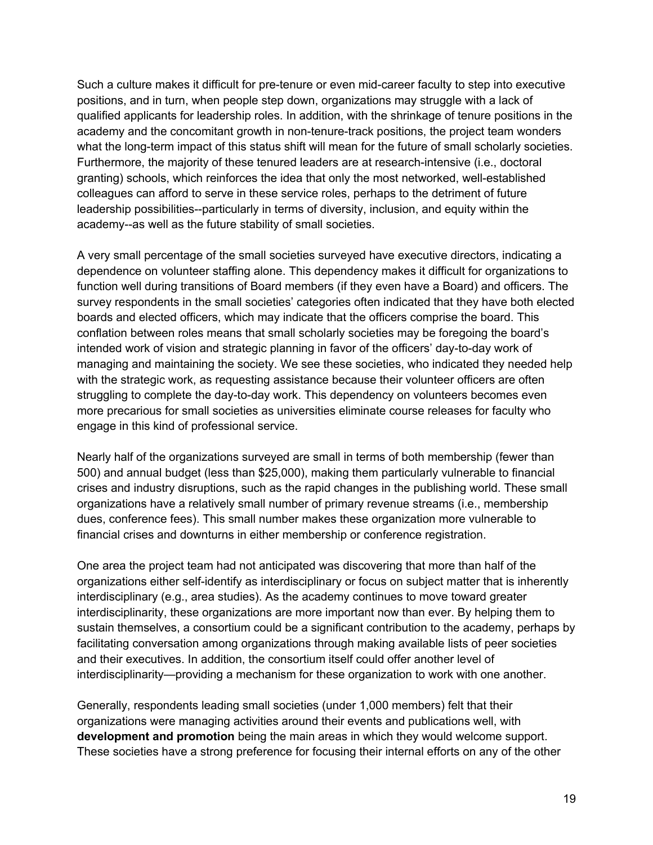Such a culture makes it difficult for pre-tenure or even mid-career faculty to step into executive positions, and in turn, when people step down, organizations may struggle with a lack of qualified applicants for leadership roles. In addition, with the shrinkage of tenure positions in the academy and the concomitant growth in non-tenure-track positions, the project team wonders what the long-term impact of this status shift will mean for the future of small scholarly societies. Furthermore, the majority of these tenured leaders are at research-intensive (i.e., doctoral granting) schools, which reinforces the idea that only the most networked, well-established colleagues can afford to serve in these service roles, perhaps to the detriment of future leadership possibilities--particularly in terms of diversity, inclusion, and equity within the academy--as well as the future stability of small societies.

A very small percentage of the small societies surveyed have executive directors, indicating a dependence on volunteer staffing alone. This dependency makes it difficult for organizations to function well during transitions of Board members (if they even have a Board) and officers. The survey respondents in the small societies' categories often indicated that they have both elected boards and elected officers, which may indicate that the officers comprise the board. This conflation between roles means that small scholarly societies may be foregoing the board's intended work of vision and strategic planning in favor of the officers' day-to-day work of managing and maintaining the society. We see these societies, who indicated they needed help with the strategic work, as requesting assistance because their volunteer officers are often struggling to complete the day-to-day work. This dependency on volunteers becomes even more precarious for small societies as universities eliminate course releases for faculty who engage in this kind of professional service.

Nearly half of the organizations surveyed are small in terms of both membership (fewer than 500) and annual budget (less than \$25,000), making them particularly vulnerable to financial crises and industry disruptions, such as the rapid changes in the publishing world. These small organizations have a relatively small number of primary revenue streams (i.e., membership dues, conference fees). This small number makes these organization more vulnerable to financial crises and downturns in either membership or conference registration.

One area the project team had not anticipated was discovering that more than half of the organizations either self-identify as interdisciplinary or focus on subject matter that is inherently interdisciplinary (e.g., area studies). As the academy continues to move toward greater interdisciplinarity, these organizations are more important now than ever. By helping them to sustain themselves, a consortium could be a significant contribution to the academy, perhaps by facilitating conversation among organizations through making available lists of peer societies and their executives. In addition, the consortium itself could offer another level of interdisciplinarity—providing a mechanism for these organization to work with one another.

Generally, respondents leading small societies (under 1,000 members) felt that their organizations were managing activities around their events and publications well, with **development and promotion** being the main areas in which they would welcome support. These societies have a strong preference for focusing their internal efforts on any of the other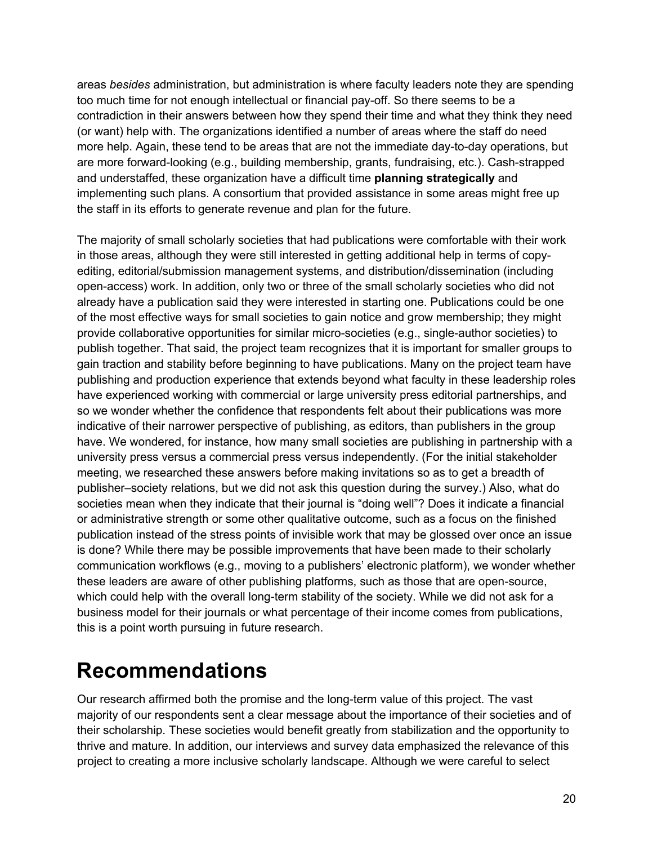areas *besides* administration, but administration is where faculty leaders note they are spending too much time for not enough intellectual or financial pay-off. So there seems to be a contradiction in their answers between how they spend their time and what they think they need (or want) help with. The organizations identified a number of areas where the staff do need more help. Again, these tend to be areas that are not the immediate day-to-day operations, but are more forward-looking (e.g., building membership, grants, fundraising, etc.). Cash-strapped and understaffed, these organization have a difficult time **planning strategically** and implementing such plans. A consortium that provided assistance in some areas might free up the staff in its efforts to generate revenue and plan for the future.

The majority of small scholarly societies that had publications were comfortable with their work in those areas, although they were still interested in getting additional help in terms of copyediting, editorial/submission management systems, and distribution/dissemination (including open-access) work. In addition, only two or three of the small scholarly societies who did not already have a publication said they were interested in starting one. Publications could be one of the most effective ways for small societies to gain notice and grow membership; they might provide collaborative opportunities for similar micro-societies (e.g., single-author societies) to publish together. That said, the project team recognizes that it is important for smaller groups to gain traction and stability before beginning to have publications. Many on the project team have publishing and production experience that extends beyond what faculty in these leadership roles have experienced working with commercial or large university press editorial partnerships, and so we wonder whether the confidence that respondents felt about their publications was more indicative of their narrower perspective of publishing, as editors, than publishers in the group have. We wondered, for instance, how many small societies are publishing in partnership with a university press versus a commercial press versus independently. (For the initial stakeholder meeting, we researched these answers before making invitations so as to get a breadth of publisher–society relations, but we did not ask this question during the survey.) Also, what do societies mean when they indicate that their journal is "doing well"? Does it indicate a financial or administrative strength or some other qualitative outcome, such as a focus on the finished publication instead of the stress points of invisible work that may be glossed over once an issue is done? While there may be possible improvements that have been made to their scholarly communication workflows (e.g., moving to a publishers' electronic platform), we wonder whether these leaders are aware of other publishing platforms, such as those that are open-source, which could help with the overall long-term stability of the society. While we did not ask for a business model for their journals or what percentage of their income comes from publications, this is a point worth pursuing in future research.

#### **Recommendations**

Our research affirmed both the promise and the long-term value of this project. The vast majority of our respondents sent a clear message about the importance of their societies and of their scholarship. These societies would benefit greatly from stabilization and the opportunity to thrive and mature. In addition, our interviews and survey data emphasized the relevance of this project to creating a more inclusive scholarly landscape. Although we were careful to select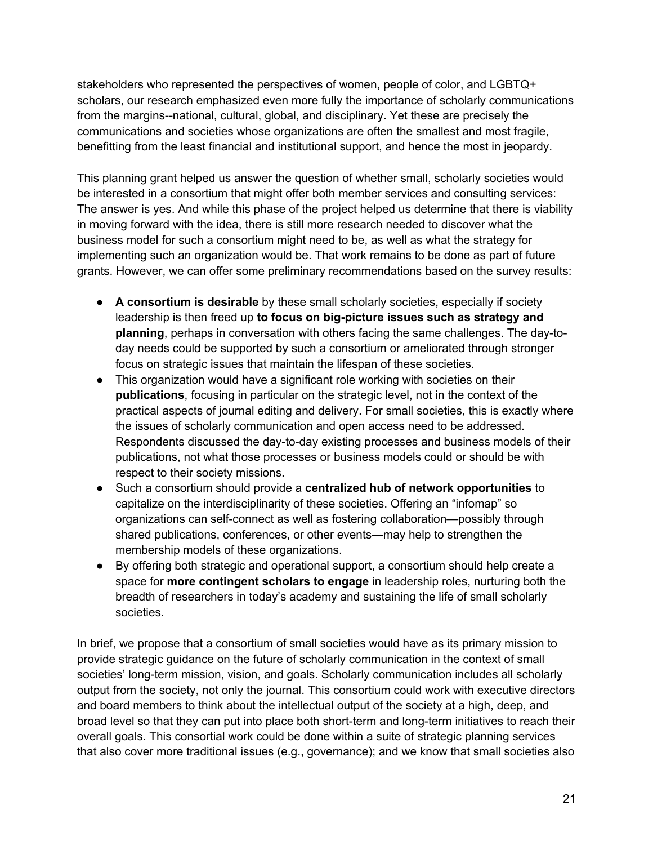stakeholders who represented the perspectives of women, people of color, and LGBTQ+ scholars, our research emphasized even more fully the importance of scholarly communications from the margins--national, cultural, global, and disciplinary. Yet these are precisely the communications and societies whose organizations are often the smallest and most fragile, benefitting from the least financial and institutional support, and hence the most in jeopardy.

This planning grant helped us answer the question of whether small, scholarly societies would be interested in a consortium that might offer both member services and consulting services: The answer is yes. And while this phase of the project helped us determine that there is viability in moving forward with the idea, there is still more research needed to discover what the business model for such a consortium might need to be, as well as what the strategy for implementing such an organization would be. That work remains to be done as part of future grants. However, we can offer some preliminary recommendations based on the survey results:

- **A consortium is desirable** by these small scholarly societies, especially if society leadership is then freed up **to focus on big-picture issues such as strategy and planning**, perhaps in conversation with others facing the same challenges. The day-today needs could be supported by such a consortium or ameliorated through stronger focus on strategic issues that maintain the lifespan of these societies.
- This organization would have a significant role working with societies on their **publications**, focusing in particular on the strategic level, not in the context of the practical aspects of journal editing and delivery. For small societies, this is exactly where the issues of scholarly communication and open access need to be addressed. Respondents discussed the day-to-day existing processes and business models of their publications, not what those processes or business models could or should be with respect to their society missions.
- Such a consortium should provide a **centralized hub of network opportunities** to capitalize on the interdisciplinarity of these societies. Offering an "infomap" so organizations can self-connect as well as fostering collaboration—possibly through shared publications, conferences, or other events—may help to strengthen the membership models of these organizations.
- By offering both strategic and operational support, a consortium should help create a space for **more contingent scholars to engage** in leadership roles, nurturing both the breadth of researchers in today's academy and sustaining the life of small scholarly societies.

In brief, we propose that a consortium of small societies would have as its primary mission to provide strategic guidance on the future of scholarly communication in the context of small societies' long-term mission, vision, and goals. Scholarly communication includes all scholarly output from the society, not only the journal. This consortium could work with executive directors and board members to think about the intellectual output of the society at a high, deep, and broad level so that they can put into place both short-term and long-term initiatives to reach their overall goals. This consortial work could be done within a suite of strategic planning services that also cover more traditional issues (e.g., governance); and we know that small societies also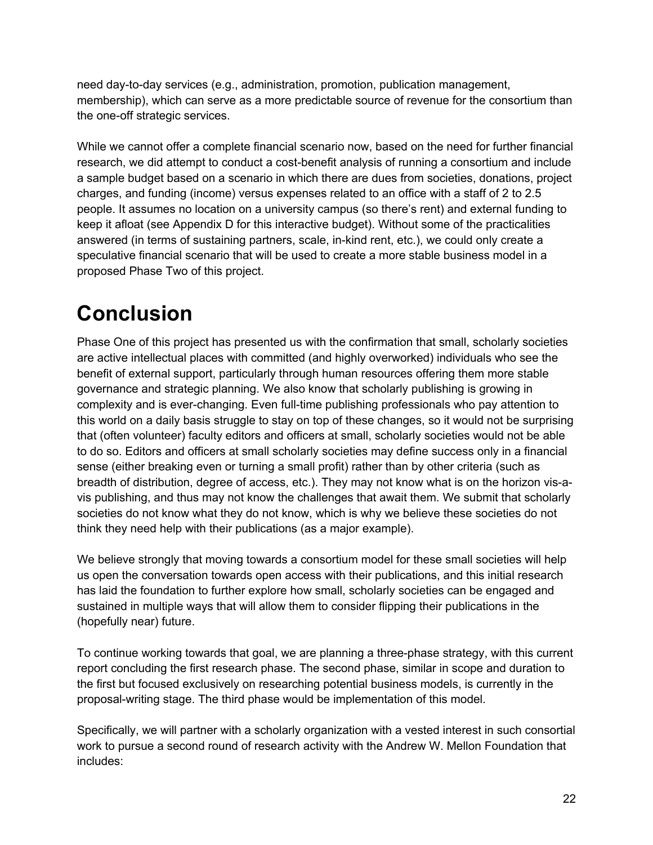need day-to-day services (e.g., administration, promotion, publication management, membership), which can serve as a more predictable source of revenue for the consortium than the one-off strategic services.

While we cannot offer a complete financial scenario now, based on the need for further financial research, we did attempt to conduct a cost-benefit analysis of running a consortium and include a sample budget based on a scenario in which there are dues from societies, donations, project charges, and funding (income) versus expenses related to an office with a staff of 2 to 2.5 people. It assumes no location on a university campus (so there's rent) and external funding to keep it afloat (see Appendix D for this interactive budget). Without some of the practicalities answered (in terms of sustaining partners, scale, in-kind rent, etc.), we could only create a speculative financial scenario that will be used to create a more stable business model in a proposed Phase Two of this project.

# **Conclusion**

Phase One of this project has presented us with the confirmation that small, scholarly societies are active intellectual places with committed (and highly overworked) individuals who see the benefit of external support, particularly through human resources offering them more stable governance and strategic planning. We also know that scholarly publishing is growing in complexity and is ever-changing. Even full-time publishing professionals who pay attention to this world on a daily basis struggle to stay on top of these changes, so it would not be surprising that (often volunteer) faculty editors and officers at small, scholarly societies would not be able to do so. Editors and officers at small scholarly societies may define success only in a financial sense (either breaking even or turning a small profit) rather than by other criteria (such as breadth of distribution, degree of access, etc.). They may not know what is on the horizon vis-avis publishing, and thus may not know the challenges that await them. We submit that scholarly societies do not know what they do not know, which is why we believe these societies do not think they need help with their publications (as a major example).

We believe strongly that moving towards a consortium model for these small societies will help us open the conversation towards open access with their publications, and this initial research has laid the foundation to further explore how small, scholarly societies can be engaged and sustained in multiple ways that will allow them to consider flipping their publications in the (hopefully near) future.

To continue working towards that goal, we are planning a three-phase strategy, with this current report concluding the first research phase. The second phase, similar in scope and duration to the first but focused exclusively on researching potential business models, is currently in the proposal-writing stage. The third phase would be implementation of this model.

Specifically, we will partner with a scholarly organization with a vested interest in such consortial work to pursue a second round of research activity with the Andrew W. Mellon Foundation that includes: